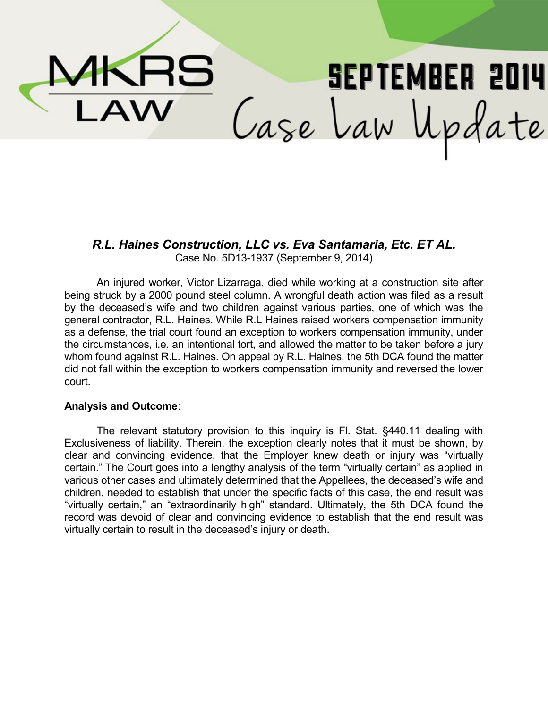MKRS **SEPTEMBER 2014** Case Law Update  $\overline{\mathsf{AW}}$ 

*R.L. Haines Construction, LLC vs. Eva Santamaria, Etc. ET AL.* Case No. 5D13-1937 (September 9, 2014)

An injured worker, Victor Lizarraga, died while working at a construction site after being struck by a 2000 pound steel column. A wrongful death action was filed as a result by the deceased's wife and two children against various parties, one of which was the general contractor, R.L. Haines. While R.L Haines raised workers compensation immunity as a defense, the trial court found an exception to workers compensation immunity, under the circumstances, i.e. an intentional tort, and allowed the matter to be taken before a jury whom found against R.L. Haines. On appeal by R.L. Haines, the 5th DCA found the matter did not fall within the exception to workers compensation immunity and reversed the lower court.

#### **Analysis and Outcome**:

The relevant statutory provision to this inquiry is Fl. Stat. §440.11 dealing with Exclusiveness of liability. Therein, the exception clearly notes that it must be shown, by clear and convincing evidence, that the Employer knew death or injury was "virtually certain." The Court goes into a lengthy analysis of the term "virtually certain" as applied in various other cases and ultimately determined that the Appellees, the deceased's wife and children, needed to establish that under the specific facts of this case, the end result was "virtually certain," an "extraordinarily high" standard. Ultimately, the 5th DCA found the record was devoid of clear and convincing evidence to establish that the end result was virtually certain to result in the deceased's injury or death.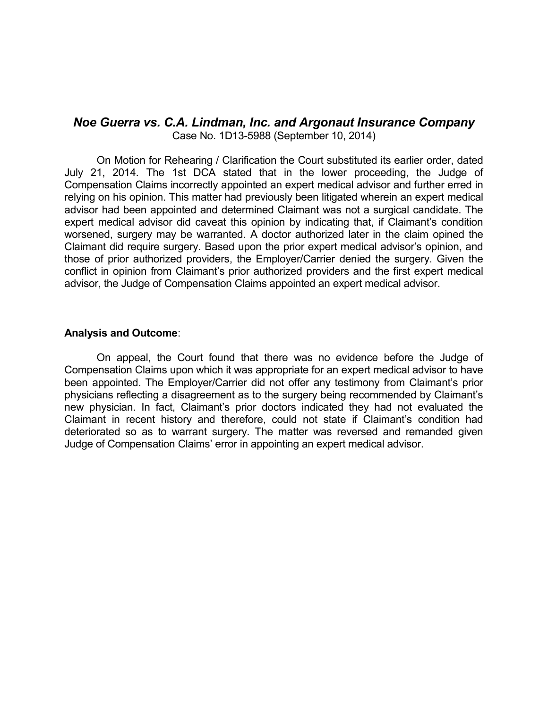## *Noe Guerra vs. C.A. Lindman, Inc. and Argonaut Insurance Company* Case No. 1D13-5988 (September 10, 2014)

On Motion for Rehearing / Clarification the Court substituted its earlier order, dated July 21, 2014. The 1st DCA stated that in the lower proceeding, the Judge of Compensation Claims incorrectly appointed an expert medical advisor and further erred in relying on his opinion. This matter had previously been litigated wherein an expert medical advisor had been appointed and determined Claimant was not a surgical candidate. The expert medical advisor did caveat this opinion by indicating that, if Claimant's condition worsened, surgery may be warranted. A doctor authorized later in the claim opined the Claimant did require surgery. Based upon the prior expert medical advisor's opinion, and those of prior authorized providers, the Employer/Carrier denied the surgery. Given the conflict in opinion from Claimant's prior authorized providers and the first expert medical advisor, the Judge of Compensation Claims appointed an expert medical advisor.

#### **Analysis and Outcome**:

On appeal, the Court found that there was no evidence before the Judge of Compensation Claims upon which it was appropriate for an expert medical advisor to have been appointed. The Employer/Carrier did not offer any testimony from Claimant's prior physicians reflecting a disagreement as to the surgery being recommended by Claimant's new physician. In fact, Claimant's prior doctors indicated they had not evaluated the Claimant in recent history and therefore, could not state if Claimant's condition had deteriorated so as to warrant surgery. The matter was reversed and remanded given Judge of Compensation Claims' error in appointing an expert medical advisor.